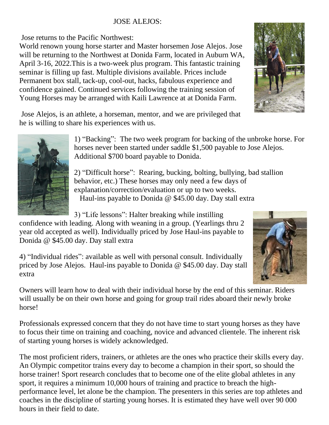## JOSE ALEJOS:

Jose returns to the Pacific Northwest:

World renown young horse starter and Master horsemen Jose Alejos. Jose will be returning to the Northwest at Donida Farm, located in Auburn WA, April 3-16, 2022.This is a two-week plus program. This fantastic training seminar is filling up fast. Multiple divisions available. Prices include Permanent box stall, tack-up, cool-out, hacks, fabulous experience and confidence gained. Continued services following the training session of Young Horses may be arranged with Kaili Lawrence at at Donida Farm.

Jose Alejos, is an athlete, a horseman, mentor, and we are privileged that he is willing to share his experiences with us.



1) "Backing": The two week program for backing of the unbroke horse. For horses never been started under saddle \$1,500 payable to Jose Alejos. Additional \$700 board payable to Donida.

2) "Difficult horse": Rearing, bucking, bolting, bullying, bad stallion behavior, etc.) These horses may only need a few days of explanation/correction/evaluation or up to two weeks. Haul-ins payable to Donida @ \$45.00 day. Day stall extra

3) "Life lessons": Halter breaking while instilling

confidence with leading. Along with weaning in a group. (Yearlings thru 2 year old accepted as well). Individually priced by Jose Haul-ins payable to Donida @ \$45.00 day. Day stall extra

4) "Individual rides": available as well with personal consult. Individually priced by Jose Alejos. Haul-ins payable to Donida @ \$45.00 day. Day stall extra

Owners will learn how to deal with their individual horse by the end of this seminar. Riders will usually be on their own horse and going for group trail rides aboard their newly broke horse!

Professionals expressed concern that they do not have time to start young horses as they have to focus their time on training and coaching, novice and advanced clientele. The inherent risk of starting young horses is widely acknowledged.

The most proficient riders, trainers, or athletes are the ones who practice their skills every day. An Olympic competitor trains every day to become a champion in their sport, so should the horse trainer! Sport research concludes that to become one of the elite global athletes in any sport, it requires a minimum 10,000 hours of training and practice to breach the highperformance level, let alone be the champion. The presenters in this series are top athletes and coaches in the discipline of starting young horses. It is estimated they have well over 90 000 hours in their field to date.